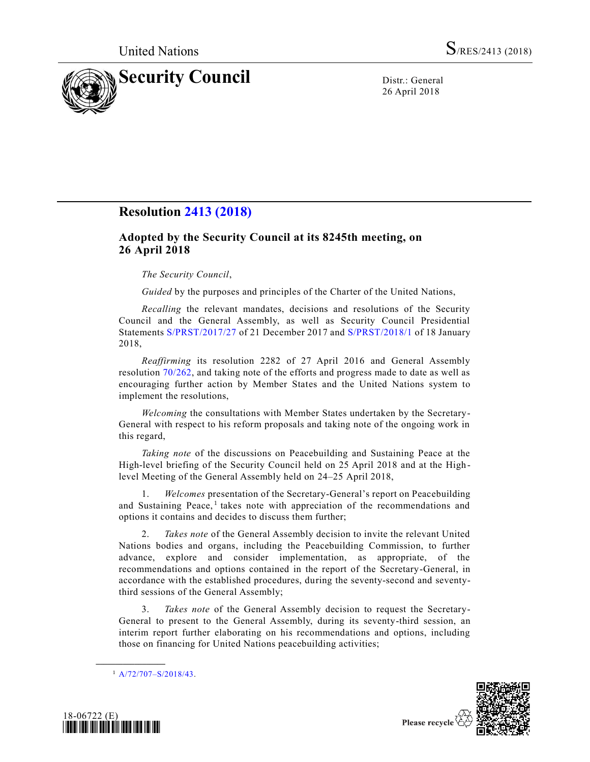

26 April 2018

## **Resolution [2413 \(2018\)](https://undocs.org/S/RES/2413(2018))**

## **Adopted by the Security Council at its 8245th meeting, on 26 April 2018**

## *The Security Council*,

*Guided* by the purposes and principles of the Charter of the United Nations,

*Recalling* the relevant mandates, decisions and resolutions of the Security Council and the General Assembly, as well as Security Council Presidential Statements [S/PRST/2017/27](https://undocs.org/S/PRST/2017/27) of 21 December 2017 and [S/PRST/2018/1](https://undocs.org/S/PRST/2018/1) of 18 January 2018,

*Reaffirming* its resolution 2282 of 27 April 2016 and General Assembly resolution [70/262,](https://undocs.org/A/RES/70/262) and taking note of the efforts and progress made to date as well as encouraging further action by Member States and the United Nations system to implement the resolutions,

*Welcoming* the consultations with Member States undertaken by the Secretary-General with respect to his reform proposals and taking note of the ongoing work in this regard,

*Taking note* of the discussions on Peacebuilding and Sustaining Peace at the High-level briefing of the Security Council held on 25 April 2018 and at the High level Meeting of the General Assembly held on 24–25 April 2018,

1. *Welcomes* presentation of the Secretary-General's report on Peacebuilding and Sustaining Peace,<sup>1</sup> takes note with appreciation of the recommendations and options it contains and decides to discuss them further;

2. *Takes note* of the General Assembly decision to invite the relevant United Nations bodies and organs, including the Peacebuilding Commission, to further advance, explore and consider implementation, as appropriate, of the recommendations and options contained in the report of the Secretary-General, in accordance with the established procedures, during the seventy-second and seventythird sessions of the General Assembly;

3. *Takes note* of the General Assembly decision to request the Secretary-General to present to the General Assembly, during its seventy-third session, an interim report further elaborating on his recommendations and options, including those on financing for United Nations peacebuilding activities;

**\_\_\_\_\_\_\_\_\_\_\_\_\_\_\_\_\_\_**





 $1 A/72/707 - S/2018/43.$